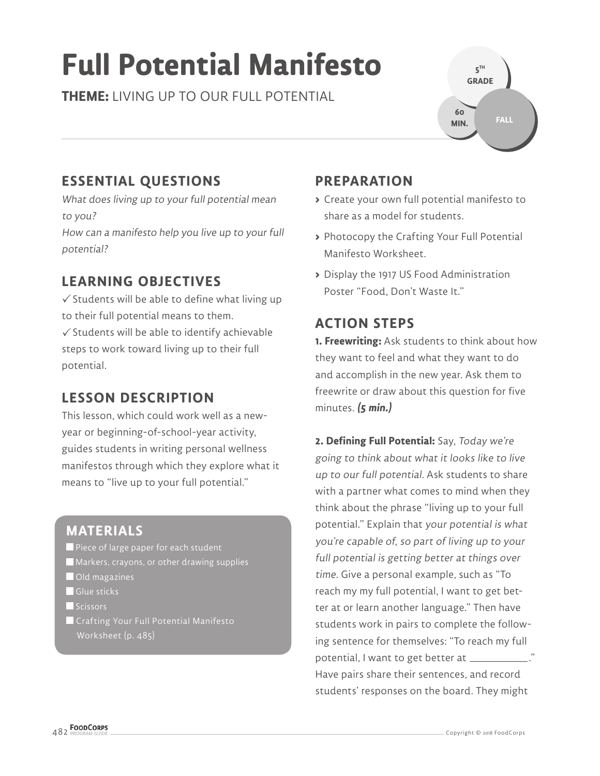# **Full Potential Manifesto**

**THEME:** LIVING UP TO OUR FULL POTENTIAL



# **ESSENTIAL QUESTIONS**

What does living up to your full potential mean to you?

How can a manifesto help you live up to your full potential?

# **LEARNING OBJECTIVES**

 $\checkmark$  Students will be able to define what living up to their full potential means to them.  $\checkmark$  Students will be able to identify achievable steps to work toward living up to their full potential.

# **LESSON DESCRIPTION**

This lesson, which could work well as a newyear or beginning-of-school-year activity, guides students in writing personal wellness manifestos through which they explore what it means to "live up to your full potential."

## **MATERIALS**

- **Piece of large paper for each student**
- **Markers, crayons, or other drawing supplies**
- **Old magazines**
- Glue sticks
- Scissors
- Crafting Your Full Potential Manifesto Worksheet (p. 485)

# **PREPARATION**

- **>** Create your own full potential manifesto to share as a model for students.
- **>** Photocopy the Crafting Your Full Potential Manifesto Worksheet.
- **>** Display the 1917 US Food Administration Poster "Food, Don't Waste It."

# **ACTION STEPS**

**1. Freewriting:** Ask students to think about how they want to feel and what they want to do and accomplish in the new year. Ask them to freewrite or draw about this question for five minutes. **(5 min.)**

**2. Defining Full Potential:** Say, Today we're going to think about what it looks like to live up to our full potential. Ask students to share with a partner what comes to mind when they think about the phrase "living up to your full potential." Explain that your potential is what you're capable of, so part of living up to your full potential is getting better at things over time. Give a personal example, such as "To reach my my full potential, I want to get better at or learn another language." Then have students work in pairs to complete the following sentence for themselves: "To reach my full potential, I want to get better at \_\_\_\_\_\_\_ Have pairs share their sentences, and record students' responses on the board. They might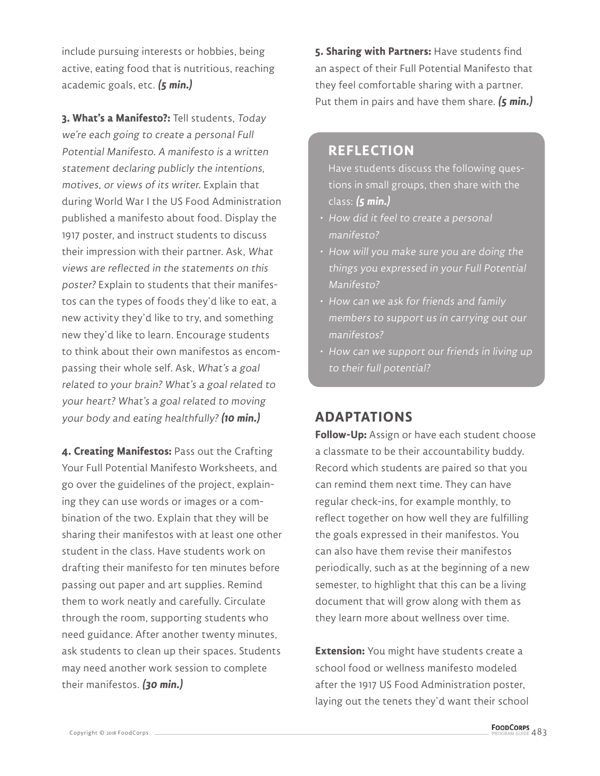include pursuing interests or hobbies, being active, eating food that is nutritious, reaching academic goals, etc. **(5 min.)**

**3. What's a Manifesto?:** Tell students, Today we're each going to create a personal Full Potential Manifesto. A manifesto is a written statement declaring publicly the intentions, motives, or views of its writer. Explain that during World War I the US Food Administration published a manifesto about food. Display the 1917 poster, and instruct students to discuss their impression with their partner. Ask, What views are reflected in the statements on this poster? Explain to students that their manifestos can the types of foods they'd like to eat, a new activity they'd like to try, and something new they'd like to learn. Encourage students to think about their own manifestos as encompassing their whole self. Ask, What's a goal related to your brain? What's a goal related to your heart? What's a goal related to moving your body and eating healthfully? **(10 min.)**

**4. Creating Manifestos:** Pass out the Crafting Your Full Potential Manifesto Worksheets, and go over the guidelines of the project, explaining they can use words or images or a combination of the two. Explain that they will be sharing their manifestos with at least one other student in the class. Have students work on drafting their manifesto for ten minutes before passing out paper and art supplies. Remind them to work neatly and carefully. Circulate through the room, supporting students who need guidance. After another twenty minutes, ask students to clean up their spaces. Students may need another work session to complete their manifestos. **(30 min.)**

**5. Sharing with Partners:** Have students find an aspect of their Full Potential Manifesto that they feel comfortable sharing with a partner. Put them in pairs and have them share. **(5 min.)**

#### **REFLECTION**

Have students discuss the following questions in small groups, then share with the class: **(5 min.)**

- How did it feel to create a personal manifesto?
- How will you make sure you are doing the things you expressed in your Full Potential Manifesto?
- How can we ask for friends and family members to support us in carrying out our manifestos?
- How can we support our friends in living up to their full potential?

### **ADAPTATIONS**

**Follow-Up:** Assign or have each student choose a classmate to be their accountability buddy. Record which students are paired so that you can remind them next time. They can have regular check-ins, for example monthly, to reflect together on how well they are fulfilling the goals expressed in their manifestos. You can also have them revise their manifestos periodically, such as at the beginning of a new semester, to highlight that this can be a living document that will grow along with them as they learn more about wellness over time.

**Extension:** You might have students create a school food or wellness manifesto modeled after the 1917 US Food Administration poster, laying out the tenets they'd want their school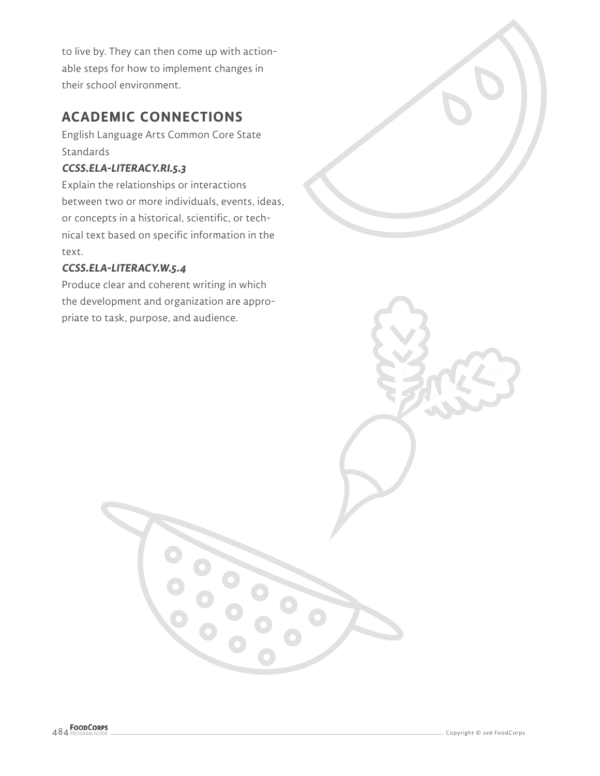to live by. They can then come up with actionable steps for how to implement changes in their school environment.

# **ACADEMIC CONNECTIONS**

English Language Arts Common Core State Standards

#### **CCSS.ELA-LITERACY.RI.5.3**

Explain the relationships or interactions between two or more individuals, events, ideas, or concepts in a historical, scientific, or technical text based on specific information in the text.

#### **CCSS.ELA-LITERACY.W.5.4**

Produce clear and coherent writing in which the development and organization are appropriate to task, purpose, and audience.